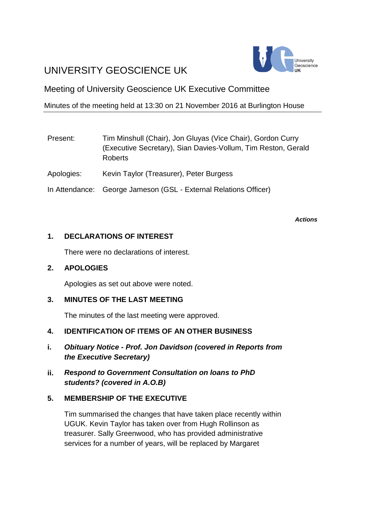# UNIVERSITY GEOSCIENCE UK



# Meeting of University Geoscience UK Executive Committee

# Minutes of the meeting held at 13:30 on 21 November 2016 at Burlington House

| Present:   | Tim Minshull (Chair), Jon Gluyas (Vice Chair), Gordon Curry<br>(Executive Secretary), Sian Davies-Vollum, Tim Reston, Gerald<br><b>Roberts</b> |
|------------|------------------------------------------------------------------------------------------------------------------------------------------------|
| Apologies: | Kevin Taylor (Treasurer), Peter Burgess                                                                                                        |
|            | In Attendance: George Jameson (GSL - External Relations Officer)                                                                               |

*Actions*

# **1. DECLARATIONS OF INTEREST**

There were no declarations of interest.

#### **2. APOLOGIES**

Apologies as set out above were noted.

# **3. MINUTES OF THE LAST MEETING**

The minutes of the last meeting were approved.

# **4. IDENTIFICATION OF ITEMS OF AN OTHER BUSINESS**

- **i.** *Obituary Notice - Prof. Jon Davidson (covered in Reports from the Executive Secretary)*
- **ii.** *Respond to Government Consultation on loans to PhD students? (covered in A.O.B)*

# **5. MEMBERSHIP OF THE EXECUTIVE**

Tim summarised the changes that have taken place recently within UGUK. Kevin Taylor has taken over from Hugh Rollinson as treasurer. Sally Greenwood, who has provided administrative services for a number of years, will be replaced by Margaret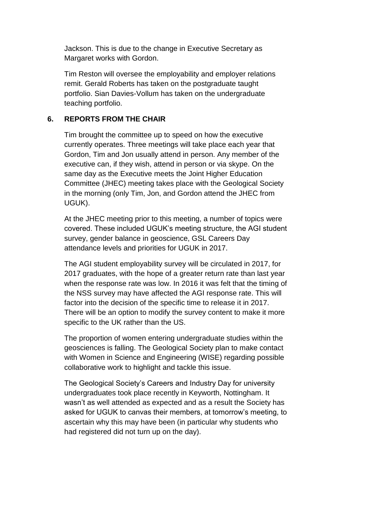Jackson. This is due to the change in Executive Secretary as Margaret works with Gordon.

Tim Reston will oversee the employability and employer relations remit. Gerald Roberts has taken on the postgraduate taught portfolio. Sian Davies-Vollum has taken on the undergraduate teaching portfolio.

#### **6. REPORTS FROM THE CHAIR**

Tim brought the committee up to speed on how the executive currently operates. Three meetings will take place each year that Gordon, Tim and Jon usually attend in person. Any member of the executive can, if they wish, attend in person or via skype. On the same day as the Executive meets the Joint Higher Education Committee (JHEC) meeting takes place with the Geological Society in the morning (only Tim, Jon, and Gordon attend the JHEC from UGUK).

At the JHEC meeting prior to this meeting, a number of topics were covered. These included UGUK's meeting structure, the AGI student survey, gender balance in geoscience, GSL Careers Day attendance levels and priorities for UGUK in 2017.

The AGI student employability survey will be circulated in 2017, for 2017 graduates, with the hope of a greater return rate than last year when the response rate was low. In 2016 it was felt that the timing of the NSS survey may have affected the AGI response rate. This will factor into the decision of the specific time to release it in 2017. There will be an option to modify the survey content to make it more specific to the UK rather than the US.

The proportion of women entering undergraduate studies within the geosciences is falling. The Geological Society plan to make contact with Women in Science and Engineering (WISE) regarding possible collaborative work to highlight and tackle this issue.

The Geological Society's Careers and Industry Day for university undergraduates took place recently in Keyworth, Nottingham. It wasn't as well attended as expected and as a result the Society has asked for UGUK to canvas their members, at tomorrow's meeting, to ascertain why this may have been (in particular why students who had registered did not turn up on the day).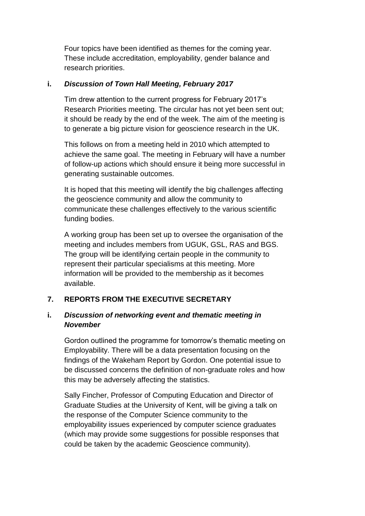Four topics have been identified as themes for the coming year. These include accreditation, employability, gender balance and research priorities.

#### **i.** *Discussion of Town Hall Meeting, February 2017*

Tim drew attention to the current progress for February 2017's Research Priorities meeting. The circular has not yet been sent out; it should be ready by the end of the week. The aim of the meeting is to generate a big picture vision for geoscience research in the UK.

This follows on from a meeting held in 2010 which attempted to achieve the same goal. The meeting in February will have a number of follow-up actions which should ensure it being more successful in generating sustainable outcomes.

It is hoped that this meeting will identify the big challenges affecting the geoscience community and allow the community to communicate these challenges effectively to the various scientific funding bodies.

A working group has been set up to oversee the organisation of the meeting and includes members from UGUK, GSL, RAS and BGS. The group will be identifying certain people in the community to represent their particular specialisms at this meeting. More information will be provided to the membership as it becomes available.

#### **7. REPORTS FROM THE EXECUTIVE SECRETARY**

# **i.** *Discussion of networking event and thematic meeting in November*

Gordon outlined the programme for tomorrow's thematic meeting on Employability. There will be a data presentation focusing on the findings of the Wakeham Report by Gordon. One potential issue to be discussed concerns the definition of non-graduate roles and how this may be adversely affecting the statistics.

Sally Fincher, Professor of Computing Education and Director of Graduate Studies at the University of Kent, will be giving a talk on the response of the Computer Science community to the employability issues experienced by computer science graduates (which may provide some suggestions for possible responses that could be taken by the academic Geoscience community).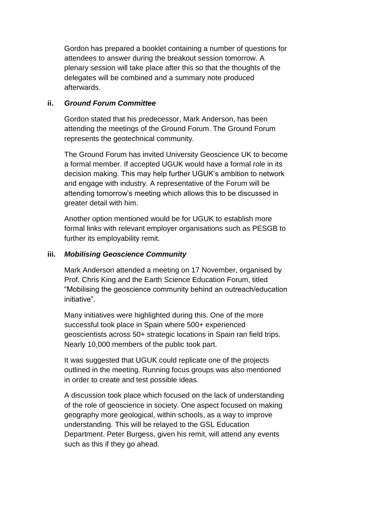Gordon has prepared a booklet containing a number of questions for attendees to answer during the breakout session tomorrow. A plenary session will take place after this so that the thoughts of the delegates will be combined and a summary note produced afterwards.

#### **ii.** *Ground Forum Committee*

Gordon stated that his predecessor, Mark Anderson, has been attending the meetings of the Ground Forum. The Ground Forum represents the geotechnical community.

The Ground Forum has invited University Geoscience UK to become a formal member. If accepted UGUK would have a formal role in its decision making. This may help further UGUK's ambition to network and engage with industry. A representative of the Forum will be attending tomorrow's meeting which allows this to be discussed in greater detail with him.

Another option mentioned would be for UGUK to establish more formal links with relevant employer organisations such as PESGB to further its employability remit.

#### **iii.** *Mobilising Geoscience Community*

Mark Anderson attended a meeting on 17 November, organised by Prof. Chris King and the Earth Science Education Forum, titled "Mobilising the geoscience community behind an outreach/education initiative".

Many initiatives were highlighted during this. One of the more successful took place in Spain where 500+ experienced geoscientists across 50+ strategic locations in Spain ran field trips. Nearly 10,000 members of the public took part.

It was suggested that UGUK could replicate one of the projects outlined in the meeting. Running focus groups was also mentioned in order to create and test possible ideas.

A discussion took place which focused on the lack of understanding of the role of geoscience in society. One aspect focused on making geography more geological, within schools, as a way to improve understanding. This will be relayed to the GSL Education Department. Peter Burgess, given his remit, will attend any events such as this if they go ahead.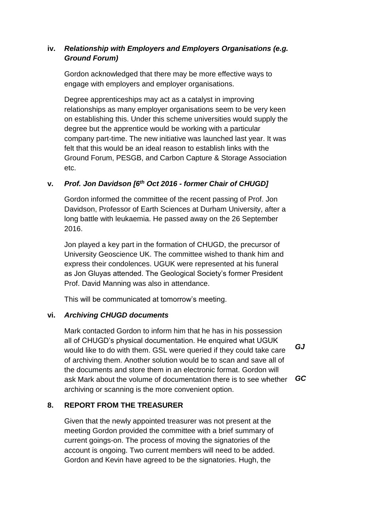# **iv.** *Relationship with Employers and Employers Organisations (e.g. Ground Forum)*

Gordon acknowledged that there may be more effective ways to engage with employers and employer organisations.

Degree apprenticeships may act as a catalyst in improving relationships as many employer organisations seem to be very keen on establishing this. Under this scheme universities would supply the degree but the apprentice would be working with a particular company part-time. The new initiative was launched last year. It was felt that this would be an ideal reason to establish links with the Ground Forum, PESGB, and Carbon Capture & Storage Association etc.

# **v.** *Prof. Jon Davidson [6th Oct 2016 - former Chair of CHUGD]*

Gordon informed the committee of the recent passing of Prof. Jon Davidson, Professor of Earth Sciences at Durham University, after a long battle with leukaemia. He passed away on the 26 September 2016.

Jon played a key part in the formation of CHUGD, the precursor of University Geoscience UK. The committee wished to thank him and express their condolences. UGUK were represented at his funeral as Jon Gluyas attended. The Geological Society's former President Prof. David Manning was also in attendance.

This will be communicated at tomorrow's meeting.

#### **vi.** *Archiving CHUGD documents*

Mark contacted Gordon to inform him that he has in his possession all of CHUGD's physical documentation. He enquired what UGUK would like to do with them. GSL were queried if they could take care of archiving them. Another solution would be to scan and save all of the documents and store them in an electronic format. Gordon will ask Mark about the volume of documentation there is to see whether archiving or scanning is the more convenient option. *GJ GC*

# **8. REPORT FROM THE TREASURER**

Given that the newly appointed treasurer was not present at the meeting Gordon provided the committee with a brief summary of current goings-on. The process of moving the signatories of the account is ongoing. Two current members will need to be added. Gordon and Kevin have agreed to be the signatories. Hugh, the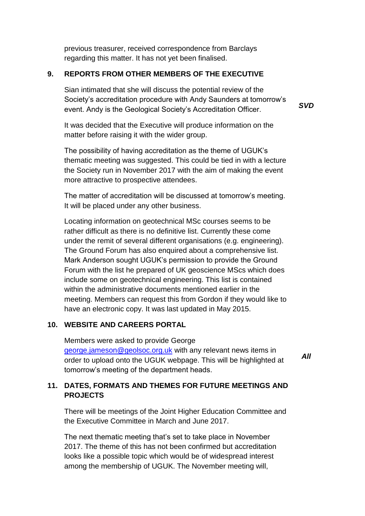previous treasurer, received correspondence from Barclays regarding this matter. It has not yet been finalised.

#### **9. REPORTS FROM OTHER MEMBERS OF THE EXECUTIVE**

Sian intimated that she will discuss the potential review of the Society's accreditation procedure with Andy Saunders at tomorrow's event. Andy is the Geological Society's Accreditation Officer.

*SVD*

It was decided that the Executive will produce information on the matter before raising it with the wider group.

The possibility of having accreditation as the theme of UGUK's thematic meeting was suggested. This could be tied in with a lecture the Society run in November 2017 with the aim of making the event more attractive to prospective attendees.

The matter of accreditation will be discussed at tomorrow's meeting. It will be placed under any other business.

Locating information on geotechnical MSc courses seems to be rather difficult as there is no definitive list. Currently these come under the remit of several different organisations (e.g. engineering). The Ground Forum has also enquired about a comprehensive list. Mark Anderson sought UGUK's permission to provide the Ground Forum with the list he prepared of UK geoscience MScs which does include some on geotechnical engineering. This list is contained within the administrative documents mentioned earlier in the meeting. Members can request this from Gordon if they would like to have an electronic copy. It was last updated in May 2015.

#### **10. WEBSITE AND CAREERS PORTAL**

Members were asked to provide George [george.jameson@geolsoc.org.uk](mailto:george.jameson@geolsoc.org.uk) with any relevant news items in order to upload onto the UGUK webpage. This will be highlighted at tomorrow's meeting of the department heads.

*All*

# **11. DATES, FORMATS AND THEMES FOR FUTURE MEETINGS AND PROJECTS**

There will be meetings of the Joint Higher Education Committee and the Executive Committee in March and June 2017.

The next thematic meeting that's set to take place in November 2017. The theme of this has not been confirmed but accreditation looks like a possible topic which would be of widespread interest among the membership of UGUK. The November meeting will,